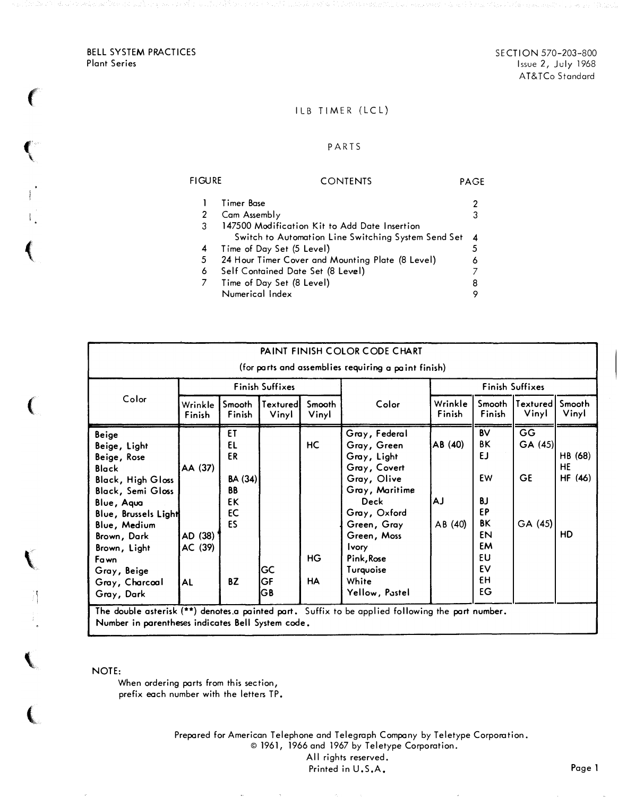BELL SYSTEM PRACTICES Plant Series

 $\left($ 

 $\epsilon$ 

 $\left($ 

 $\big($ 

 $\mathbf{V}$ 

Ă

 $\overline{\mathbf{C}}$ 

 $\big($ 

SECTION 570-203-800 Issue 2, July 1968 AT&TCo Standard

## ILB TIMER (LCL)

#### PARTS

# FIGURE CONTENTS PAGE 1 Timer Base 2 2 Cam Assembly 3 3 147500 Modification Kit to Add Date Insertion Switch to Automation Line Switching System Send Set 4<br>ne of Day Set (5 Level) 5 4 Time of Day Set (5 Level)<br>5 24 Hour Timer Cover and I 24 Hour Timer Cover and Mounting Plate (8 Level) 6 6 Self Contained Date Set (8 Level) 7 7 Time of Day Set (8 Level) 8 Numerical Index

| Color                                                                                                                                                                                                                                                           | <b>Finish Suffixes</b>              |                                                                |                   |                 |                                                                                                                                                                                                                          | <b>Finish Suffixes</b>   |                                                                                    |                                       |                                       |
|-----------------------------------------------------------------------------------------------------------------------------------------------------------------------------------------------------------------------------------------------------------------|-------------------------------------|----------------------------------------------------------------|-------------------|-----------------|--------------------------------------------------------------------------------------------------------------------------------------------------------------------------------------------------------------------------|--------------------------|------------------------------------------------------------------------------------|---------------------------------------|---------------------------------------|
|                                                                                                                                                                                                                                                                 | Wrinkle<br>Finish                   | Smooth<br>Finish                                               | Textured<br>Vinyl | Smooth<br>Vinyl | Color                                                                                                                                                                                                                    | Wrinkle<br>Finish        | <b>Smooth</b><br>Finish                                                            | Textured<br>Vinyl                     | Smooth<br>Vinyl                       |
| <b>Beige</b><br>Beige, Light<br>Beige, Rose<br><b>Black</b><br><b>Black, High Gloss</b><br><b>Black, Semi Gloss</b><br>Blue, Aqua<br>Blue, Brussels Light<br>Blue, Medium<br>Brown, Dark<br>Brown, Light<br>Fawn<br>Gray, Beige<br>Gray, Charcoal<br>Gray, Dark | AA (37)<br>AD (38)<br>AC (39)<br>AL | ET<br>EL<br>ER<br>BA (34)<br>BB<br>EK<br><b>EC</b><br>ES<br>BZ | GC<br>GF<br>IG B  | HC<br>HG<br>HA  | Gray, Federal<br>Gray, Green<br>Gray, Light<br>Gray, Covert<br>Gray, Olive<br>Gray, Maritime<br>Deck<br>Gray, Oxford<br>Green, Gray<br>Green, Moss<br><b>Ivory</b><br>Pink, Rose<br>Turquoise<br>White<br>Yellow, Pastel | AB (40)<br>AJ<br>AB (40) | <b>BV</b><br>ΒK<br>EJ.<br>EW<br>BJ<br>EP<br>ΒK<br>EN<br>EM<br>EU<br>EV<br>£Η<br>EG | GG<br>GA (45)<br><b>GE</b><br>GA (45) | HB (68)<br>HE<br><b>HF</b> (46)<br>HD |

NOTE:

When ordering parts from this section, prefix each number with the letters TP.

> Prepared for American Telephone and Telegraph Company by Teletype Corporation. © 1961, 1966 and 1967 by Teletype Corporation.

All rights reserved.

Printed in U.S.A.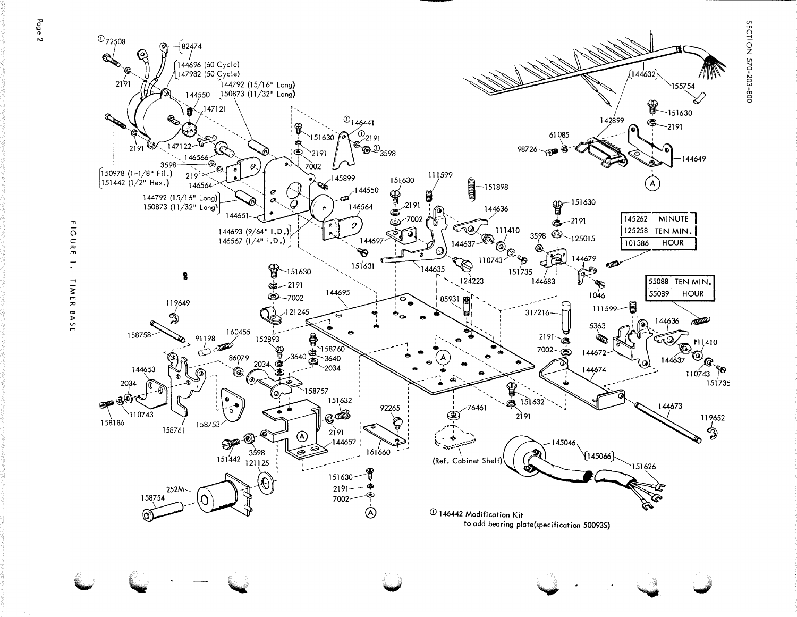

SECTION 570-203-800

**FIGURE**  $\overline{\cdot}$ TIMER BASE

Page 2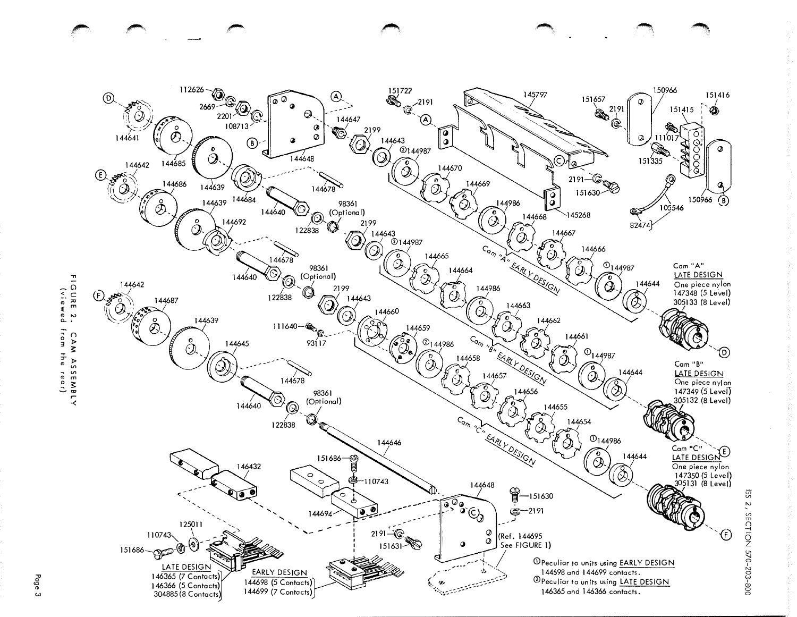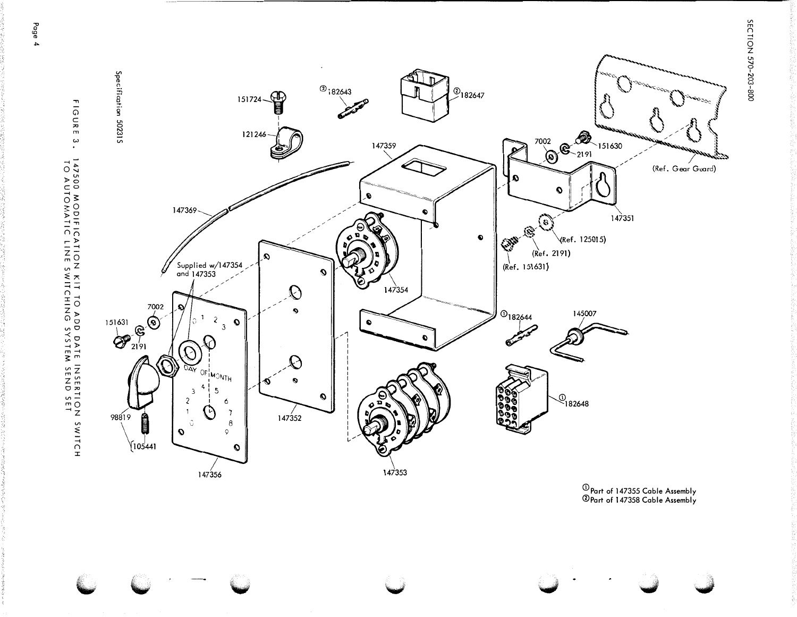

 $^\circledR$ Part of 147355 Cable Assembly<br>©Part of 147358 Cable Assembly

Page 4

SECTI ON 570-203-800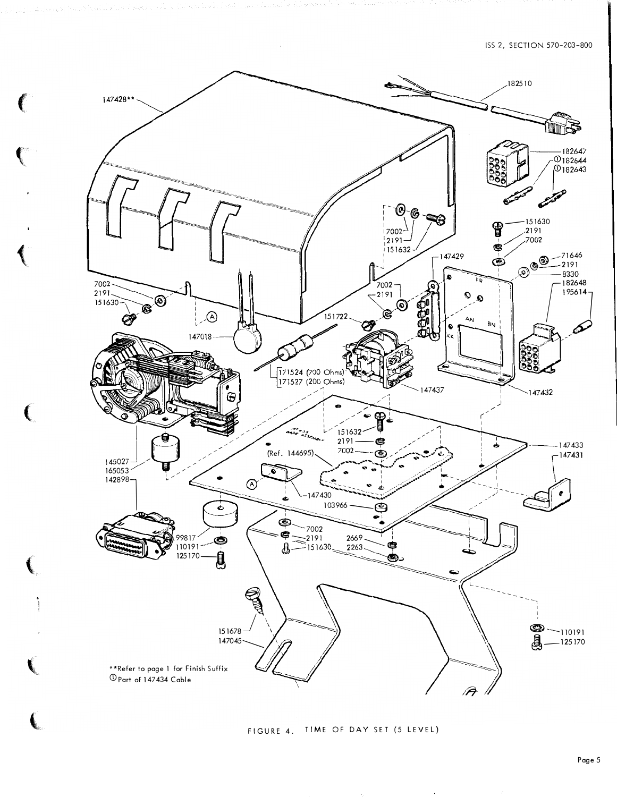

FIGURE 4. TIME OF DAY SET (5 LEVEL)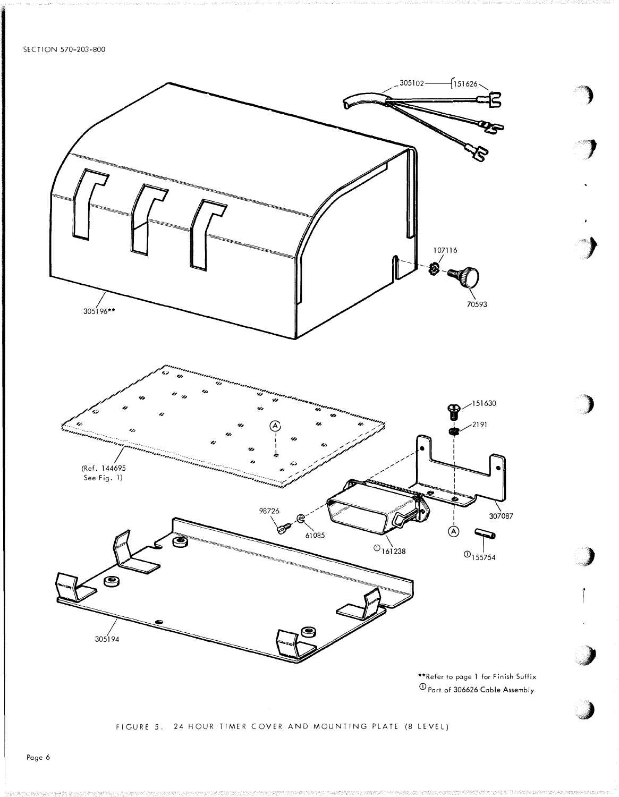

\*\*Refer to page 1 for Finish Suffix  $\overline{\text{O}}$  Part of 306626 Cable Assembly

## FIGURE 5. 24 HOUR TIMER COVER AND MOUNTING PLATE (8 LEVEL)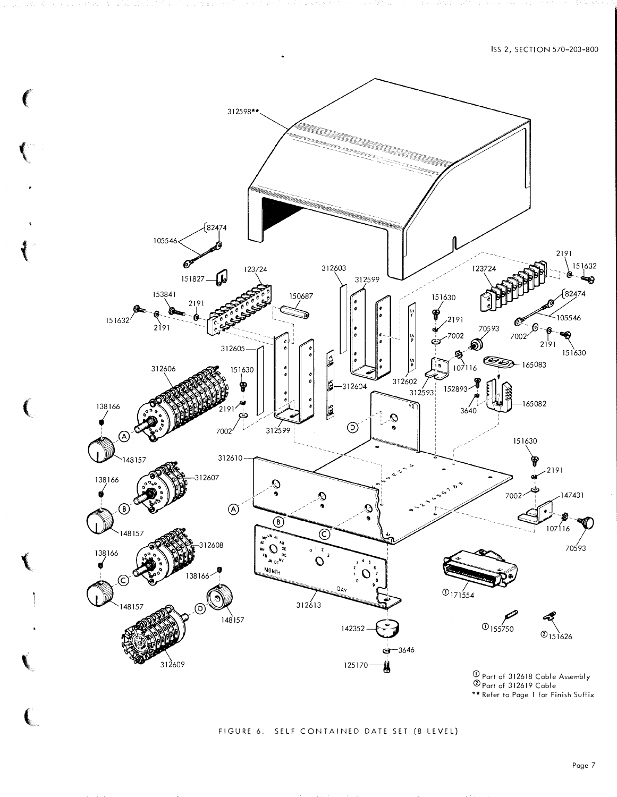

(

### FIGURE 6. SELF CONTAINED DATE SET (8 LEVEL)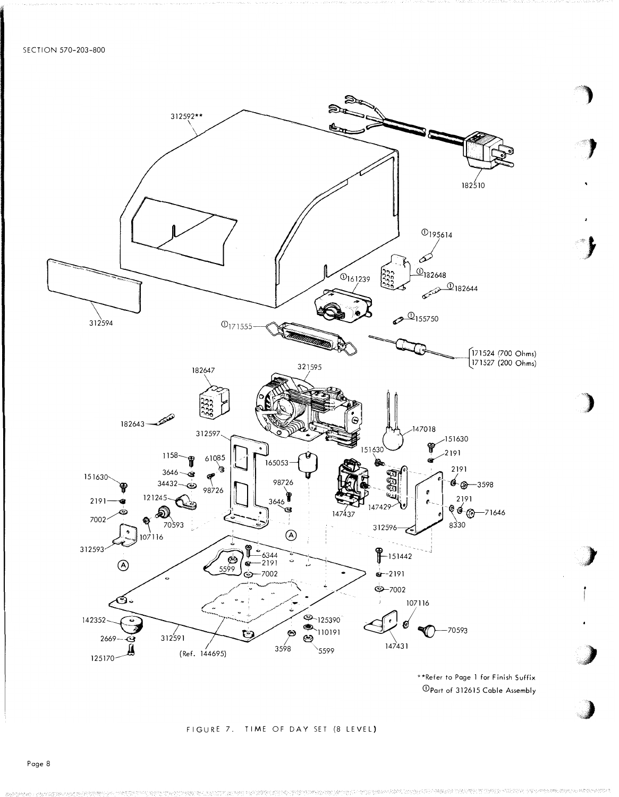

\*\*Refer to Page 1 for Finish Suffix <sup>1</sup> Opart of 312615 Cable Assembly

#### FIGURE 7. TIME OF DAY SET (8 LEVEL)

Page 8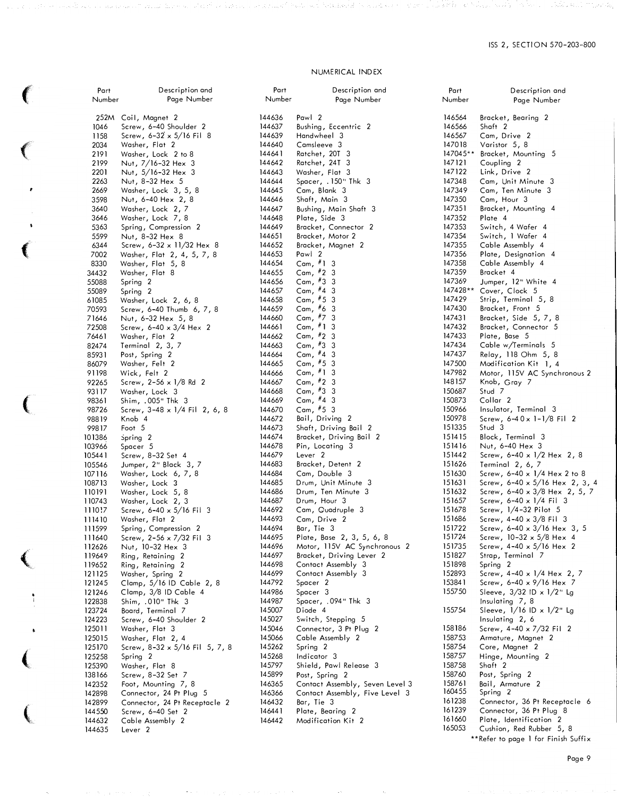#### NUMERICAL INDEX

| Part   | Description and                      | Part   | Description and                 |
|--------|--------------------------------------|--------|---------------------------------|
| Number | Page Number                          | Number | Page Number                     |
|        |                                      |        |                                 |
| 252M   | Coil, Magnet 2                       | 144636 | Pawl 2                          |
| 1046   | Screw, 6-40 Shoulder 2               | 144637 | Bushing, Eccentric 2            |
| 1158   | Screw, $6 - 32 \times 5/16$ Fil 8    | 144639 | Handwheel 3                     |
| 2034   | Washer, Flat 2                       | 144640 | Camsleeve 3                     |
| 2191   | Washer, Lock 2 to 8                  | 144641 | Ratchet, 20T 3                  |
| 2199   | Nut, $7/16 - 32$ Hex 3               | 144642 | Ratchet, 24T 3                  |
| 2201   | Nut, $5/16 - 32$ Hex 3               | 144643 | Washer, Flat 3                  |
| 2263   | Nut, 8-32 Hex 5                      | 144644 | Spacer, .150" Thk 3             |
| 2669   | Washer, Lock 3, 5, 8                 | 144645 | Cam, Blank 3                    |
| 3598   | Nut, 6-40 Hex 2, 8                   | 144646 | Shaft, Main 3                   |
| 3640   | Washer, Lock 2, 7                    | 144647 | Bushing, Main Shaft 3           |
| 3646   | Washer, Lock 7, 8                    | 144648 | Plate, Side 3                   |
| 5363   | Spring, Compression 2                | 144649 | Bracket, Connector 2            |
| 5599   | Nut, 8-32 Hex 8                      | 144651 | Bracket, Motor 2                |
| 6344   | Screw, $6-32 \times 11/32$ Hex 8     | 144652 | Bracket, Magnet 2               |
| 7002   | Washer, Flat 2, 4, 5, 7, 8           | 144653 | Pawl 2                          |
| 8330   | Washer, Flat 5, 8                    | 144654 | Cam, $#1$ 3                     |
| 34432  | Washer, Flat 8                       | 144655 | Cam, $#2$ 3                     |
| 55088  | Spring 2                             | 144656 | Cam, $#3$ 3                     |
| 55089  | Spring 2                             | 144657 | Cam, $#4$ 3                     |
| 61085  | Washer, Lock 2, 6, 8                 | 144658 | Cam, $#5$ 3                     |
| 70593  | Screw, 6-40 Thumb 6, 7, 8            | 144659 | Cam, $#6$ 3                     |
| 71646  | Nut, 6-32 Hex 5, 8                   | 144660 | Cam, $#7$ 3                     |
| 72508  | Screw, $6-40 \times 3/4$ Hex 2       | 144661 | Cam, $#1$ 3                     |
| 76461  | Washer, Flat 2                       | 144662 | Cam, #2 3                       |
| 82474  | Terminal 2, 3, 7                     | 144663 | Cam, $#3$ 3                     |
| 85931  | Post, Spring 2                       | 144664 | Cam, $#4$ 3                     |
| 86079  | Washer, Felt 2                       | 144665 | Cam, $#5$ 3                     |
| 91198  | Wick, Felt 2                         | 144666 | Cam, $#1$ 3                     |
| 92265  | Screw, $2-56 \times 1/8$ Rd 2        | 144667 | Cam, $#2$ 3                     |
| 93117  | Washer, Lock 3                       | 144668 | Cam, $#3$ 3                     |
| 98361  | Shim, .005" Thk 3                    | 144669 | Cam, $#4$ 3                     |
| 98726  | Screw, $3-48 \times 1/4$ Fil 2, 6, 8 | 144670 | Cam, $#5$ 3                     |
| 98819  | Knob 4                               | 144672 | Bail, Driving 2                 |
| 99817  | Foot 5                               | 144673 | Shaft, Driving Bail 2           |
| 101386 | Spring 2                             | 144674 | Bracket, Driving Bail 2         |
| 103966 | Spacer 5                             | 144678 | Pin, Locating 3                 |
| 105441 | Screw, 8-32 Set 4                    | 144679 | Lever <sub>2</sub>              |
| 105546 | Jumper, 2" Black 3, 7                | 144683 | Bracket, Detent 2               |
| 107116 | Washer, Lock 6, 7, 8                 | 144684 | Cam, Double 3                   |
| 108713 | Washer, Lock 3                       | 144685 | Drum, Unit Minute 3             |
| 110191 | Washer, Lock 5, 8                    | 144686 | Drum, Ten Minute 3              |
| 110743 | Washer, Lock 2, 3                    | 144687 | Drum, Hour 3                    |
| 1110!7 | Screw, $6-40 \times 5/16$ Fil 3      | 144692 | Cam, Quadruple 3                |
| 111410 | Washer, Flat 2                       | 144693 | Cam, Drive 2                    |
| 111599 | Spring, Compression 2                | 144694 | Bar, Tie 3                      |
| 111640 | Screw, 2-56 x 7/32 Fil 3             | 144695 | Plate, Base 2, 3, 5, 6, 8       |
| 112626 | Nut, 10-32 Hex 3                     | 144696 | Motor, 115V AC Synchronous 2    |
| 119649 | Ring, Retaining 2                    | 144697 | Bracket, Driving Lever 2        |
| 119652 | Ring, Retaining 2                    | 144698 | Contact Assembly 3              |
| 121125 | Washer, Spring 2                     | 144699 | Contact Assembly 3              |
| 121245 | Clamp, 5/16 ID Cable 2, 8            | 144792 | Spacer 2                        |
| 121246 | Clamp, 3/8 ID Cable 4                | 144986 | Spacer 3                        |
| 122838 | Shim, .010" Thk 3                    | 144987 | Spacer, .094" Thk 3             |
| 123724 | Board, Terminal 7                    | 145007 | Diode 4                         |
| 124223 | Screw, 6-40 Shoulder 2               | 145027 | Switch, Stepping 5              |
| 125011 | Washer, Flat 3                       | 145046 | Connector, 3 Pt Plug 2          |
| 125015 | Washer, Flat 2, 4                    | 145066 | Cable Assembly 2                |
| 125170 | Screw, 8-32 x 5/16 Fil 5, 7, 8       | 145262 | Spring 2                        |
| 125258 | Spring 2                             | 145268 | Indicator 3                     |
| 125390 | Washer, Flat 8                       | 145797 | Shield, Pawl Release 3          |
| 138166 | Screw, 8-32 Set 7                    | 145899 | Post, Spring 2                  |
| 142352 | Foot, Mounting 7, 8                  | 146365 | Contact Assembly, Seven Level 3 |
| 142898 | Connector, 24 Pt Plug 5              | 146366 | Contact Assembly, Five Level 3  |
| 142899 | Connector, 24 Pt Receptacle 2        | 146432 | Bar, Tie 3                      |
| 144550 | Screw, 6-40 Set 2                    | 146441 | Plate, Bearing 2                |
| 144632 | Cable Assembly 2                     | 146442 | Modification Kit 2              |
| 144635 | Lever <sub>2</sub>                   |        |                                 |

**Contact Contact Contact Contact Contact Contact Contact Contact Contact Contact Contact Contact Contact Contact Contact Contact Contact Contact Contact Contact Contact Contact Contact Contact Contact Contact Contact Conta** 

 $\mathbf{I}$ 

 $\sim$ 

| Part             | Description and                                                     |
|------------------|---------------------------------------------------------------------|
| Number           | Page Number                                                         |
|                  |                                                                     |
| 146564           | Bracket, Bearing 2                                                  |
| 146566           | Shaft 2                                                             |
| 146567           | Cam, Drive 2                                                        |
| 1470 18          | Varistor 5, 8                                                       |
| 147045**         | Bracket, Mounting 5                                                 |
| 147 12 1         | Coupling 2                                                          |
| 147122           | Link, Drive 2                                                       |
| 147348           | Cam, Unit Minute<br>3                                               |
| 147349           | Cam, Ten Minute 3                                                   |
| 147350           | Cam, Hour 3                                                         |
| 147351<br>147352 | Bracket, Mounting 4                                                 |
| 147353           | Plate 4                                                             |
| 147354           | Switch, 4 Wafer 4<br>Switch, 1 Wafer 4                              |
| 147355           | Cable Assembly<br>4                                                 |
| 147356           | Plate, Designation<br>$\overline{4}$                                |
| 147358           | Cable Assembly 4                                                    |
| 147359           | Bracket 4                                                           |
| 147369           | Jumper, 12" White 4                                                 |
| 147428**         |                                                                     |
| 147429           | Cover, Clock 5<br>Strip, Terminal 5, 8                              |
| 147430           | Bracket, Front 5                                                    |
| 147431           | Bracket, Side 5, 7, 8                                               |
| 147432           | Bracket, Connector 5                                                |
| 147433           | Plate, Base 5                                                       |
| 147434           | Cable w/Terminals 5                                                 |
| 147437           | Relay, 118 Ohm 5, 8                                                 |
| 147500           | Modification Kit 1, 4                                               |
| 147982           | Motor, 115V AC Synchronous 2                                        |
| 148157           | Knob, Gray 7                                                        |
| 150687           | Stud 7                                                              |
| 150873<br>150966 | Collar <sub>2</sub><br>Insulator, Terminal 3                        |
| 150978           | Screw, 6-40x 1-1/8 Fil 2                                            |
| 151335           | Stud 3                                                              |
| 15 14 15         | Block, Terminal 3                                                   |
| 151416           | Nut, 6–40 Hex<br>3                                                  |
| 151442           | Screw, $6-40 \times 1/2$ Hex 2, 8                                   |
| 151626           | Terminal 2, 6, 7                                                    |
| 151630           | Screw, 6-40 x 1/4 Hex 2 to 8                                        |
| 151631           | Screw, 6-40 x 5/16 Hex 2, 3, 4                                      |
| 151632           | Screw, 6-40 x 3/8 Hex 2, 5, 7                                       |
| 151657           | Screw, $6-40 \times 1/4$ Fil<br>3                                   |
| 151678<br>151686 | Screw, 1/4-32 Pilot 5                                               |
| 151722           | Screw, $4-40 \times 3/8$ Fil 3                                      |
| 151724           | Screw, $6-40 \times 3/16$ Hex 3, 5<br>Screw, $10-32 \times 5/8$ Hex |
| 151735           |                                                                     |
| 151827           | Screw, 4–40 x 5/16 Hex 2<br>Strap, Terminal 7                       |
| 151898           | 2<br>Spring                                                         |
| 152893           | Screw, 4-40 x 1/4 Hex 2, 7                                          |
| 153841           | Screw, $6-40 \times 9/16$ Hex<br>-7                                 |
| 155750           | Sleeve, 3/32 ID x 1/2" Lg                                           |
|                  | Insulating 7, 8                                                     |
| 155754           | Sleeve, $1/16$ ID x $1/2$ " Lg<br>Insulating 2, 6                   |
|                  |                                                                     |
| 158186           | Screw, $4-40 \times 7/32$ Fil<br>2                                  |
| 158753           | Armature, Magnet 2                                                  |
| 158754           | Core, Magnet 2                                                      |
| 158757           | Hinge, Mounting 2                                                   |
| 158758           | Shaft 2                                                             |
| 158760           | Post, Spring 2                                                      |
| 158761<br>160455 | Bail, Armature 2<br>Spring 2                                        |
| 161238           | Connector, 36 Pt Receptacle 6                                       |
| 161239           | Connector, 36 Pt Plug 8                                             |
| 161660           | Plate, Identification<br>2                                          |
| 165053           | Cushion, Red Rubber 5, 8                                            |
|                  | **Refer to page 1 for Finish Suffix                                 |
|                  |                                                                     |

Page 9